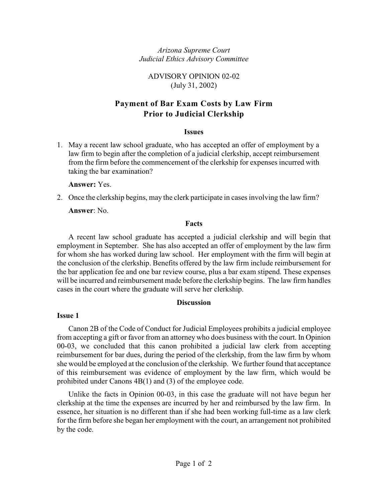<span id="page-0-0"></span>*Arizona Supreme Court Judicial Ethics Advisory Committee*

ADVISORY OPINION 02-02 (July 31, 2002)

# **Payment of Bar Exam Costs by Law Firm Prior to Judicial Clerkship**

#### **Issues**

1. May a recent law school graduate, who has accepted an offer of employment by a law firm to begin after the completion of a judicial clerkship, accept reimbursement from the firm before the commencement of the clerkship for expenses incurred with taking the bar examination?

**Answer:** Yes.

2. Once the clerkship begins, may the clerk participate in cases involving the law firm? **Answer**: No.

### **Facts**

A recent law school graduate has accepted a judicial clerkship and will begin that employment in September. She has also accepted an offer of employment by the law firm for whom she has worked during law school. Her employment with the firm will begin at the conclusion of the clerkship. Benefits offered by the law firm include reimbursement for the bar application fee and one bar review course, plus a bar exam stipend. These expenses will be incurred and reimbursement made before the clerkship begins. The law firm handles cases in the court where the graduate will serve her clerkship.

### **Discussion**

#### **Issue 1**

Canon 2B of the Code of Conduct for Judicial Employees prohibits a judicial employee from accepting a gift or favor from an attorney who does business with the court. In Opinion 00-03, we concluded that this canon prohibited a judicial law clerk from accepting reimbursement for bar dues, during the period of the clerkship, from the law firm by whom she would be employed at the conclusion of the clerkship. We further found that acceptance of this reimbursement was evidence of employment by the law firm, which would be prohibited under Canons 4B(1) and (3) of the employee code.

Unlike the facts in Opinion 00-03, in this case the graduate will not have begun her clerkship at the time the expenses are incurred by her and reimbursed by the law firm. In essence, her situation is no different than if she had been working full-time as a law clerk for the firm before she began her employment with the court, an arrangement not prohibited by the code.